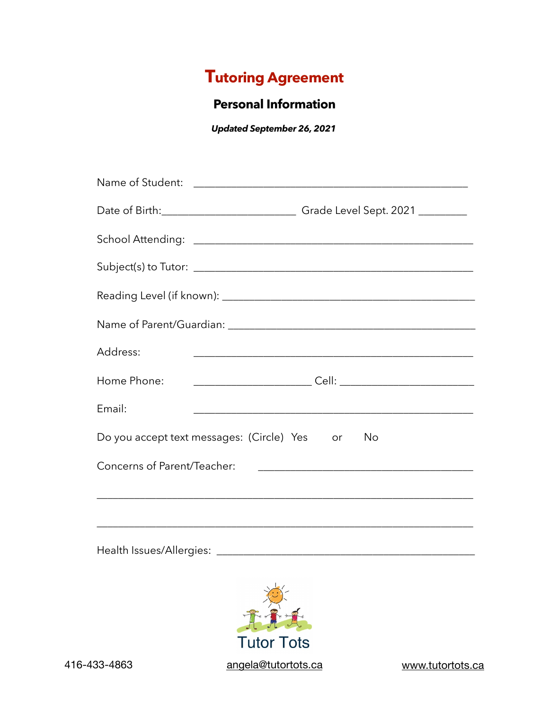## **Tutoring Agreement**

## **Personal Information**

*Updated September 26, 2021* 

| Address:                    |                                                                                  |
|-----------------------------|----------------------------------------------------------------------------------|
| Home Phone:                 |                                                                                  |
| Email:                      |                                                                                  |
|                             | Do you accept text messages: (Circle) Yes or No                                  |
| Concerns of Parent/Teacher: |                                                                                  |
|                             | ,我们也不会有什么。""我们的人,我们也不会有什么?""我们的人,我们也不会有什么?""我们的人,我们也不会有什么?""我们的人,我们也不会有什么?""我们的人 |
|                             |                                                                                  |
|                             |                                                                                  |

Health Issues/Allergies: \_\_\_\_\_\_\_\_\_\_\_\_\_\_\_\_\_\_\_\_\_\_\_\_\_\_\_\_\_\_\_\_\_\_\_\_\_\_\_\_\_\_\_\_\_\_\_\_



416-433-4863 [angela@tutortots.ca](mailto:angela@tutortots.ca) [www.tutortots.ca](http://www.tutortots.ca)